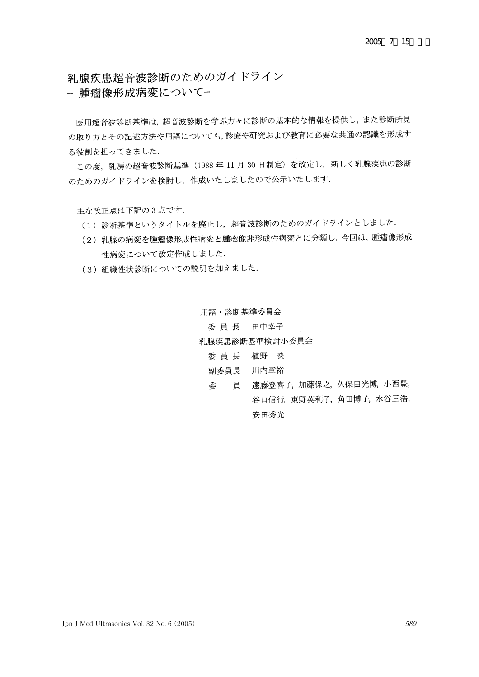乳腺疾患超音波診断のためのガイドライン

- 腫瘤像形成病変について-

医用超音波診断基準は、超音波診断を学ぶ方々に診断の基本的な情報を提供し、また診断所見 の取り方とその記述方法や用語についても,診療や研究および教育に必要な共通の認識を形成す る役割を担ってきました.

この度、乳房の超音波診断基準 (1988年11月30日制定)を改定し、新しく乳腺疾患の診断 のためのガイドラインを検討し、作成いたしましたので公示いたします.

主な改正点は下記の3点です.

- (1) 診断基準というタイトルを廃止し、超音波診断のためのガイドラインとしました.
- (2) 乳腺の病変を腫瘤像形成性病変と腫瘤像非形成性病変とに分類し、今回は、腫瘤像形成 性病変について改定作成しました.
- (3) 組織性状診断についての説明を加えました.

用語·診断基準委員会 委員長 田中幸子 乳腺疾患診断基準検討小委員会 委員長 植野 映 副委員長 川内章裕

委 員 遠藤登喜子, 加藤保之, 久保田光博, 小西豊, 谷口信行, 東野英利子, 角田博子, 水谷三浩, 安田秀光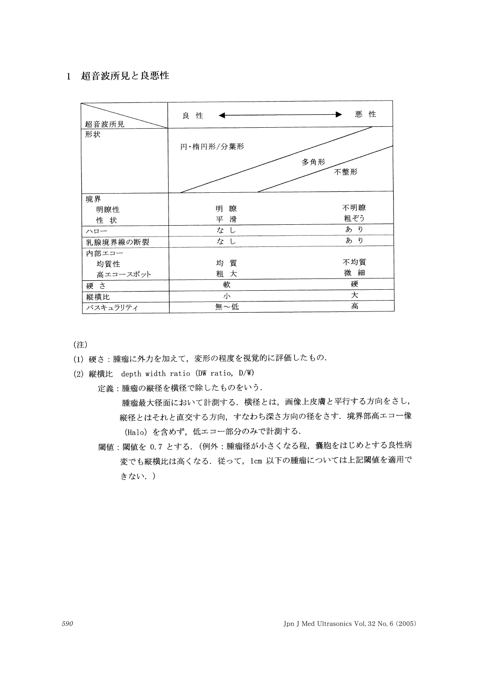# 1 超音波所見と良悪性

| 超音波所見    | 良 性       | 悪<br>性     |
|----------|-----------|------------|
| 形状       |           |            |
|          | 円·楕円形/分葉形 |            |
|          |           | 多角形<br>不整形 |
| 境界       |           |            |
| 明瞭性      | 瞭<br>明    | 不明瞭        |
| 性 状      | 滑<br>平    | 粗ぞう        |
| ハロー      | なし        | あり         |
| 乳腺境界線の断裂 | なし        | あ<br>ŋ     |
| 内部エコー    |           |            |
| 均質性      | 均 質       | 不均質        |
| 高エコースポット | 粗 大       | 微細         |
| 硬さ       | 軟         | 硬          |
| 縦横比      | 小         | 大          |
| バスキュラリティ | 無~低       | 高          |

(注)

- (1) 硬さ:腫瘤に外力を加えて、変形の程度を視覚的に評価したもの.
- (2) 縦横比 depth width ratio (DW ratio, D/W)
	- 定義:腫瘤の縦径を横径で除したものをいう.

腫瘤最大径面において計測する. 横径とは、画像上皮膚と平行する方向をさし, 縦径とはそれと直交する方向、すなわち深さ方向の径をさす。境界部高エコー像 (Halo) を含めず、低エコー部分のみで計測する.

閾値:閾値を 0.7 とする. (例外:腫瘤径が小さくなる程,嚢胞をはじめとする良性病 変でも縦横比は高くなる. 従って, 1cm 以下の腫瘤については上記閾値を適用で きない.)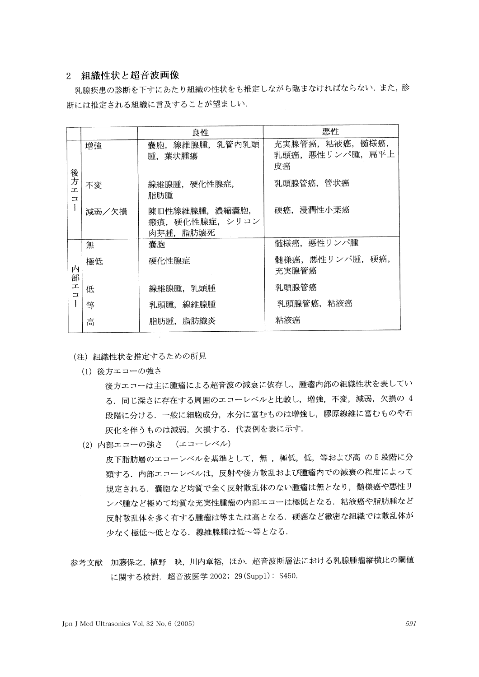## 2 組織性状と超音波画像

乳腺疾患の診断を下すにあたり組織の性状をも推定しながら臨まなければならない. また、診 断には推定される組織に言及することが望ましい.

|                                      |       | 良性                                             | 悪性                                      |
|--------------------------------------|-------|------------------------------------------------|-----------------------------------------|
| 後方<br>J.<br>$\overline{\mathbf{u}}$  | 増強    | 囊胞, 線維腺腫, 乳管内乳頭<br>腫,葉状腫瘍                      | 充実腺管癌,粘液癌, 髄様癌,<br>乳頭癌、悪性リンパ腫、扁平上<br>皮癌 |
|                                      | 不変    | 線維腺腫, 硬化性腺症,<br>脂肪腫                            | 乳頭腺管癌, 管状癌                              |
|                                      | 減弱/欠損 | 陳旧性線維腺腫, 濃縮囊胞,<br>瘢痕, 硬化性腺症, シリコン<br>肉芽腫, 脂肪壊死 | 硬癌,浸潤性小葉癌                               |
| 内<br>部<br><b>I</b><br>$\overline{a}$ | 無     | 囊胞                                             | 髄様癌, 悪性リンパ腫                             |
|                                      | 極低    | 硬化性腺症                                          | 髄様癌, 悪性リンパ腫, 硬癌,<br>充実腺管癌               |
|                                      | 低     | 線維腺腫, 乳頭腫                                      | 乳頭腺管癌                                   |
|                                      | 等     | 乳頭腫,線維腺腫                                       | 乳頭腺管癌,粘液癌                               |
|                                      | 高     | 脂肪腫,脂肪織炎                                       | 粘液癌                                     |

- (注) 組織性状を推定するための所見
	- (1) 後方エコーの強さ

後方エコーは主に腫瘤による超音波の減衰に依存し、腫瘤内部の組織性状を表してい る。同じ深さに存在する周囲のエコーレベルと比較し、増強、不変、減弱、欠損の 4 段階に分ける. 一般に細胞成分, 水分に富むものは増強し, 膠原線維に富むものや石 灰化を伴うものは減弱、欠損する. 代表例を表に示す.

(2) 内部エコーの強さ (エコーレベル)

皮下脂肪層のエコーレベルを基準として、無,極低、低、等および高の5段階に分 類する。内部エコーレベルは、反射や後方散乱および腫瘤内での減衰の程度によって 規定される。嚢胞など均質で全く反射散乱体のない腫瘤は無となり、髄様癌や悪性リ ンパ腫など極めて均質な充実性腫瘤の内部エコーは極低となる. 粘液癌や脂肪腫など 反射散乱体を多く有する腫瘤は等または高となる。硬癌など緻密な組織では散乱体が 少なく極低~低となる. 線維腺腫は低~等となる.

参考文献 加藤保之, 植野 映, 川内章裕, ほか. 超音波断層法における乳腺腫瘤縦横比の閾値 に関する検討. 超音波医学 2002; 29 (Supp1): S450.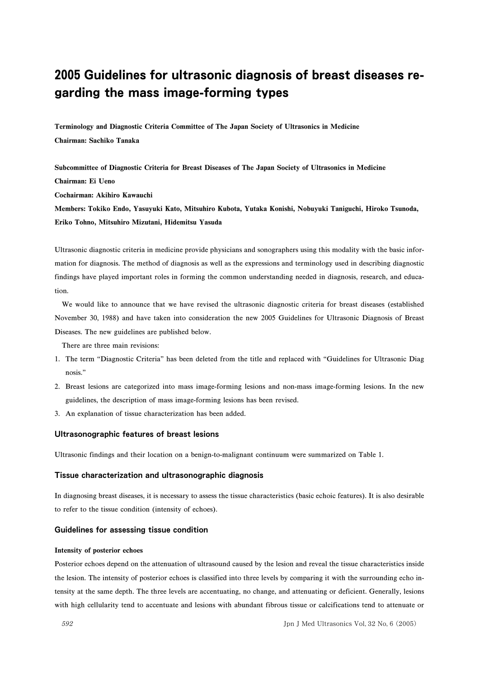# 2005 Guidelines for ultrasonic diagnosis of breast diseases regarding the mass image-forming types

**Terminology and Diagnostic Criteria Committee of The Japan Society of Ultrasonics in Medicine Chairman: Sachiko Tanaka**

**Subcommittee of Diagnostic Criteria for Breast Diseases of The Japan Society of Ultrasonics in Medicine Chairman: Ei Ueno Cochairman: Akihiro Kawauchi**

**Members: Tokiko Endo, Yasuyuki Kato, Mitsuhiro Kubota, Yutaka Konishi, Nobuyuki Taniguchi, Hiroko Tsunoda, Eriko Tohno, Mitsuhiro Mizutani, Hidemitsu Yasuda**

Ultrasonic diagnostic criteria in medicine provide physicians and sonographers using this modality with the basic information for diagnosis. The method of diagnosis as well as the expressions and terminology used in describing diagnostic findings have played important roles in forming the common understanding needed in diagnosis, research, and education.

We would like to announce that we have revised the ultrasonic diagnostic criteria for breast diseases (established November 30, 1988) and have taken into consideration the new 2005 Guidelines for Ultrasonic Diagnosis of Breast Diseases. The new guidelines are published below.

There are three main revisions:

- 1. The term "Diagnostic Criteria" has been deleted from the title and replaced with "Guidelines for Ultrasonic Diag nosis."
- 2. Breast lesions are categorized into mass image-forming lesions and non-mass image-forming lesions. In the new guidelines, the description of mass image-forming lesions has been revised.
- 3. An explanation of tissue characterization has been added.

### Ultrasonographic features of breast lesions

Ultrasonic findings and their location on a benign-to-malignant continuum were summarized on Table 1.

#### Tissue characterization and ultrasonographic diagnosis

In diagnosing breast diseases, it is necessary to assess the tissue characteristics (basic echoic features). It is also desirable to refer to the tissue condition (intensity of echoes).

#### Guidelines for assessing tissue condition

#### **Intensity of posterior echoes**

Posterior echoes depend on the attenuation of ultrasound caused by the lesion and reveal the tissue characteristics inside the lesion. The intensity of posterior echoes is classified into three levels by comparing it with the surrounding echo intensity at the same depth. The three levels are accentuating, no change, and attenuating or deficient. Generally, lesions with high cellularity tend to accentuate and lesions with abundant fibrous tissue or calcifications tend to attenuate or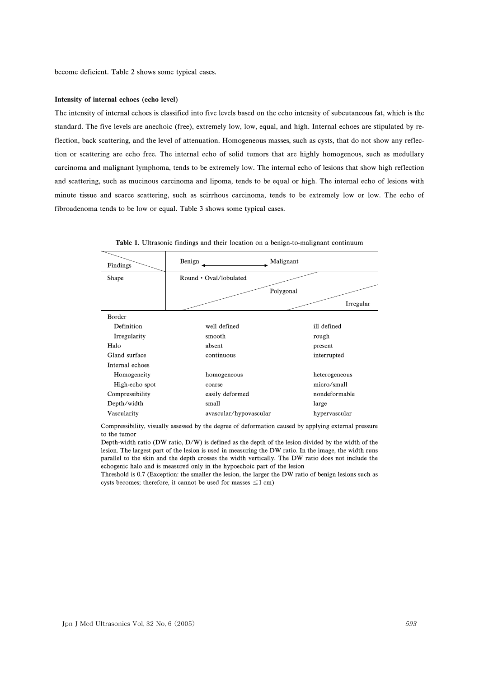#### **Intensity of internal echoes (echo level)**

The intensity of internal echoes is classified into five levels based on the echo intensity of subcutaneous fat, which is the standard. The five levels are anechoic (free), extremely low, low, equal, and high. Internal echoes are stipulated by reflection, back scattering, and the level of attenuation. Homogeneous masses, such as cysts, that do not show any reflection or scattering are echo free. The internal echo of solid tumors that are highly homogenous, such as medullary carcinoma and malignant lymphoma, tends to be extremely low. The internal echo of lesions that show high reflection and scattering, such as mucinous carcinoma and lipoma, tends to be equal or high. The internal echo of lesions with minute tissue and scarce scattering, such as scirrhous carcinoma, tends to be extremely low or low. The echo of fibroadenoma tends to be low or equal. Table 3 shows some typical cases.

| Findings        | Benign                 | Malignant     |
|-----------------|------------------------|---------------|
| Shape           | Round • Oval/lobulated |               |
|                 |                        | Polygonal     |
|                 |                        | Irregular     |
| Border          |                        |               |
| Definition      | well defined           | ill defined   |
| Irregularity    | smooth                 | rough         |
| Halo            | absent                 | present       |
| Gland surface   | continuous             | interrupted   |
| Internal echoes |                        |               |
| Homogeneity     | homogeneous            | heterogeneous |
| High-echo spot  | coarse                 | micro/small   |
| Compressibility | easily deformed        | nondeformable |
| Depth/width     | small                  | large         |
| Vascularity     | avascular/hypovascular | hypervascular |

**Table 1.** Ultrasonic findings and their location on a benign-to-malignant continuum

Compressibility, visually assessed by the degree of deformation caused by applying external pressure to the tumor

Depth-width ratio (DW ratio, D/W) is defined as the depth of the lesion divided by the width of the lesion. The largest part of the lesion is used in measuring the DW ratio. In the image, the width runs parallel to the skin and the depth crosses the width vertically. The DW ratio does not include the echogenic halo and is measured only in the hypoechoic part of the lesion

Threshold is 0.7 (Exception: the smaller the lesion, the larger the DW ratio of benign lesions such as cysts becomes; therefore, it cannot be used for masses  $\leq 1$  cm)